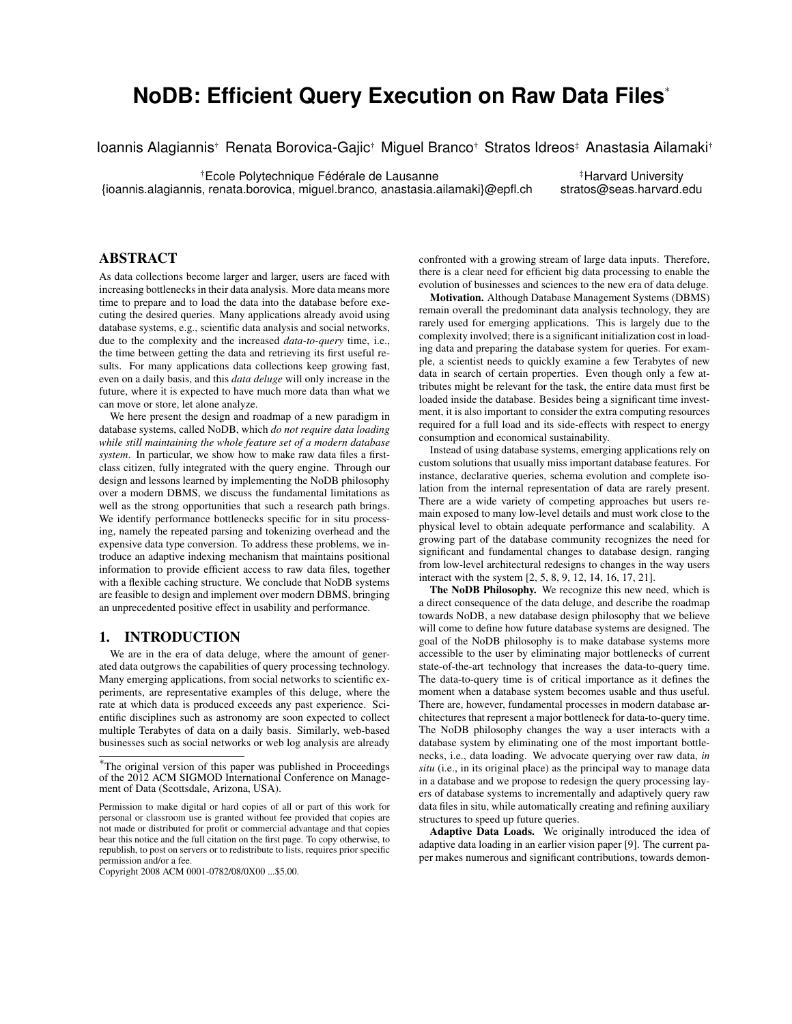# **NoDB: Efficient Query Execution on Raw Data Files<sup>®</sup>**

Ioannis Alagiannis† Renata Borovica-Gajic† Miguel Branco† Stratos Idreos‡ Anastasia Ailamaki†

†Ecole Polytechnique Fédérale de Lausanne

{ioannis.alagiannis, renata.borovica, miguel.branco, anastasia.ailamaki}@epfl.ch

‡Harvard University stratos@seas.harvard.edu

# ABSTRACT

As data collections become larger and larger, users are faced with increasing bottlenecks in their data analysis. More data means more time to prepare and to load the data into the database before executing the desired queries. Many applications already avoid using database systems, e.g., scientific data analysis and social networks, due to the complexity and the increased *data-to-query* time, i.e., the time between getting the data and retrieving its first useful results. For many applications data collections keep growing fast, even on a daily basis, and this *data deluge* will only increase in the future, where it is expected to have much more data than what we can move or store, let alone analyze.

We here present the design and roadmap of a new paradigm in database systems, called NoDB, which *do not require data loading while still maintaining the whole feature set of a modern database system*. In particular, we show how to make raw data files a firstclass citizen, fully integrated with the query engine. Through our design and lessons learned by implementing the NoDB philosophy over a modern DBMS, we discuss the fundamental limitations as well as the strong opportunities that such a research path brings. We identify performance bottlenecks specific for in situ processing, namely the repeated parsing and tokenizing overhead and the expensive data type conversion. To address these problems, we introduce an adaptive indexing mechanism that maintains positional information to provide efficient access to raw data files, together with a flexible caching structure. We conclude that NoDB systems are feasible to design and implement over modern DBMS, bringing an unprecedented positive effect in usability and performance.

### 1. INTRODUCTION

We are in the era of data deluge, where the amount of generated data outgrows the capabilities of query processing technology. Many emerging applications, from social networks to scientific experiments, are representative examples of this deluge, where the rate at which data is produced exceeds any past experience. Scientific disciplines such as astronomy are soon expected to collect multiple Terabytes of data on a daily basis. Similarly, web-based businesses such as social networks or web log analysis are already confronted with a growing stream of large data inputs. Therefore, there is a clear need for efficient big data processing to enable the evolution of businesses and sciences to the new era of data deluge.

Motivation. Although Database Management Systems (DBMS) remain overall the predominant data analysis technology, they are rarely used for emerging applications. This is largely due to the complexity involved; there is a significant initialization cost in loading data and preparing the database system for queries. For example, a scientist needs to quickly examine a few Terabytes of new data in search of certain properties. Even though only a few attributes might be relevant for the task, the entire data must first be loaded inside the database. Besides being a significant time investment, it is also important to consider the extra computing resources required for a full load and its side-effects with respect to energy consumption and economical sustainability.

Instead of using database systems, emerging applications rely on custom solutions that usually miss important database features. For instance, declarative queries, schema evolution and complete isolation from the internal representation of data are rarely present. There are a wide variety of competing approaches but users remain exposed to many low-level details and must work close to the physical level to obtain adequate performance and scalability. A growing part of the database community recognizes the need for significant and fundamental changes to database design, ranging from low-level architectural redesigns to changes in the way users interact with the system [2, 5, 8, 9, 12, 14, 16, 17, 21].

The NoDB Philosophy. We recognize this new need, which is a direct consequence of the data deluge, and describe the roadmap towards NoDB, a new database design philosophy that we believe will come to define how future database systems are designed. The goal of the NoDB philosophy is to make database systems more accessible to the user by eliminating major bottlenecks of current state-of-the-art technology that increases the data-to-query time. The data-to-query time is of critical importance as it defines the moment when a database system becomes usable and thus useful. There are, however, fundamental processes in modern database architectures that represent a major bottleneck for data-to-query time. The NoDB philosophy changes the way a user interacts with a database system by eliminating one of the most important bottlenecks, i.e., data loading. We advocate querying over raw data, *in situ* (i.e., in its original place) as the principal way to manage data in a database and we propose to redesign the query processing layers of database systems to incrementally and adaptively query raw data files in situ, while automatically creating and refining auxiliary structures to speed up future queries.

Adaptive Data Loads. We originally introduced the idea of adaptive data loading in an earlier vision paper [9]. The current paper makes numerous and significant contributions, towards demon-

<sup>⇤</sup>The original version of this paper was published in Proceedings of the 2012 ACM SIGMOD International Conference on Management of Data (Scottsdale, Arizona, USA).

Permission to make digital or hard copies of all or part of this work for personal or classroom use is granted without fee provided that copies are not made or distributed for profit or commercial advantage and that copies bear this notice and the full citation on the first page. To copy otherwise, to republish, to post on servers or to redistribute to lists, requires prior specific permission and/or a fee.

Copyright 2008 ACM 0001-0782/08/0X00 ...\$5.00.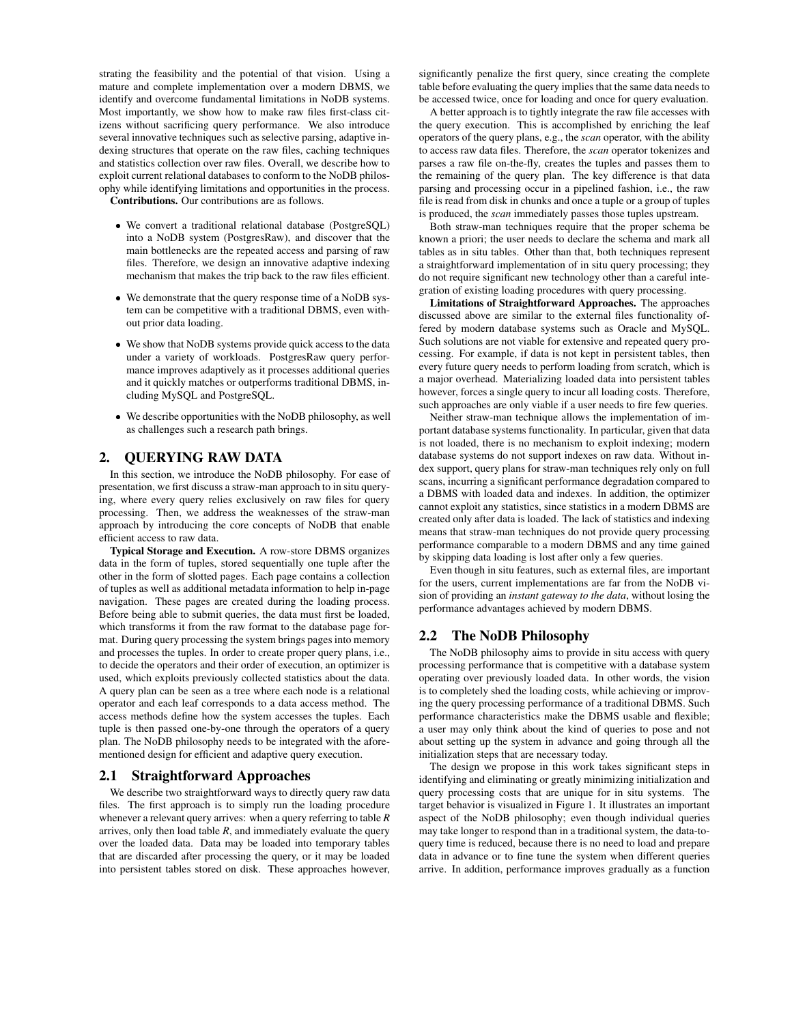strating the feasibility and the potential of that vision. Using a mature and complete implementation over a modern DBMS, we identify and overcome fundamental limitations in NoDB systems. Most importantly, we show how to make raw files first-class citizens without sacrificing query performance. We also introduce several innovative techniques such as selective parsing, adaptive indexing structures that operate on the raw files, caching techniques and statistics collection over raw files. Overall, we describe how to exploit current relational databases to conform to the NoDB philosophy while identifying limitations and opportunities in the process.

Contributions. Our contributions are as follows.

- *•* We convert a traditional relational database (PostgreSQL) into a NoDB system (PostgresRaw), and discover that the main bottlenecks are the repeated access and parsing of raw files. Therefore, we design an innovative adaptive indexing mechanism that makes the trip back to the raw files efficient.
- We demonstrate that the query response time of a NoDB system can be competitive with a traditional DBMS, even without prior data loading.
- *•* We show that NoDB systems provide quick access to the data under a variety of workloads. PostgresRaw query performance improves adaptively as it processes additional queries and it quickly matches or outperforms traditional DBMS, including MySQL and PostgreSQL.
- *•* We describe opportunities with the NoDB philosophy, as well as challenges such a research path brings.

# 2. QUERYING RAW DATA

In this section, we introduce the NoDB philosophy. For ease of presentation, we first discuss a straw-man approach to in situ querying, where every query relies exclusively on raw files for query processing. Then, we address the weaknesses of the straw-man approach by introducing the core concepts of NoDB that enable efficient access to raw data.

Typical Storage and Execution. A row-store DBMS organizes data in the form of tuples, stored sequentially one tuple after the other in the form of slotted pages. Each page contains a collection of tuples as well as additional metadata information to help in-page navigation. These pages are created during the loading process. Before being able to submit queries, the data must first be loaded, which transforms it from the raw format to the database page format. During query processing the system brings pages into memory and processes the tuples. In order to create proper query plans, i.e., to decide the operators and their order of execution, an optimizer is used, which exploits previously collected statistics about the data. A query plan can be seen as a tree where each node is a relational operator and each leaf corresponds to a data access method. The access methods define how the system accesses the tuples. Each tuple is then passed one-by-one through the operators of a query plan. The NoDB philosophy needs to be integrated with the aforementioned design for efficient and adaptive query execution.

#### 2.1 Straightforward Approaches

We describe two straightforward ways to directly query raw data files. The first approach is to simply run the loading procedure whenever a relevant query arrives: when a query referring to table *R* arrives, only then load table *R*, and immediately evaluate the query over the loaded data. Data may be loaded into temporary tables that are discarded after processing the query, or it may be loaded into persistent tables stored on disk. These approaches however, significantly penalize the first query, since creating the complete table before evaluating the query implies that the same data needs to be accessed twice, once for loading and once for query evaluation.

A better approach is to tightly integrate the raw file accesses with the query execution. This is accomplished by enriching the leaf operators of the query plans, e.g., the *scan* operator, with the ability to access raw data files. Therefore, the *scan* operator tokenizes and parses a raw file on-the-fly, creates the tuples and passes them to the remaining of the query plan. The key difference is that data parsing and processing occur in a pipelined fashion, i.e., the raw file is read from disk in chunks and once a tuple or a group of tuples is produced, the *scan* immediately passes those tuples upstream.

Both straw-man techniques require that the proper schema be known a priori; the user needs to declare the schema and mark all tables as in situ tables. Other than that, both techniques represent a straightforward implementation of in situ query processing; they do not require significant new technology other than a careful integration of existing loading procedures with query processing.

Limitations of Straightforward Approaches. The approaches discussed above are similar to the external files functionality offered by modern database systems such as Oracle and MySQL. Such solutions are not viable for extensive and repeated query processing. For example, if data is not kept in persistent tables, then every future query needs to perform loading from scratch, which is a major overhead. Materializing loaded data into persistent tables however, forces a single query to incur all loading costs. Therefore, such approaches are only viable if a user needs to fire few queries.

Neither straw-man technique allows the implementation of important database systems functionality. In particular, given that data is not loaded, there is no mechanism to exploit indexing; modern database systems do not support indexes on raw data. Without index support, query plans for straw-man techniques rely only on full scans, incurring a significant performance degradation compared to a DBMS with loaded data and indexes. In addition, the optimizer cannot exploit any statistics, since statistics in a modern DBMS are created only after data is loaded. The lack of statistics and indexing means that straw-man techniques do not provide query processing performance comparable to a modern DBMS and any time gained by skipping data loading is lost after only a few queries.

Even though in situ features, such as external files, are important for the users, current implementations are far from the NoDB vision of providing an *instant gateway to the data*, without losing the performance advantages achieved by modern DBMS.

#### 2.2 The NoDB Philosophy

The NoDB philosophy aims to provide in situ access with query processing performance that is competitive with a database system operating over previously loaded data. In other words, the vision is to completely shed the loading costs, while achieving or improving the query processing performance of a traditional DBMS. Such performance characteristics make the DBMS usable and flexible; a user may only think about the kind of queries to pose and not about setting up the system in advance and going through all the initialization steps that are necessary today.

The design we propose in this work takes significant steps in identifying and eliminating or greatly minimizing initialization and query processing costs that are unique for in situ systems. The target behavior is visualized in Figure 1. It illustrates an important aspect of the NoDB philosophy; even though individual queries may take longer to respond than in a traditional system, the data-toquery time is reduced, because there is no need to load and prepare data in advance or to fine tune the system when different queries arrive. In addition, performance improves gradually as a function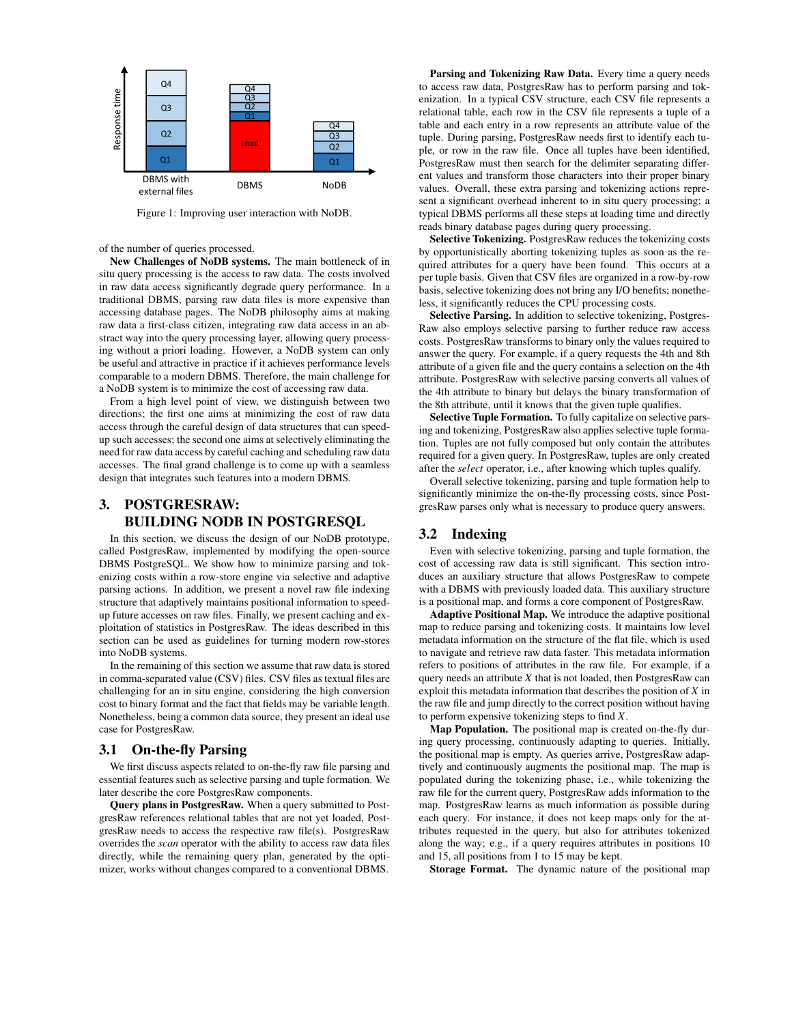

Figure 1: Improving user interaction with NoDB.

#### of the number of queries processed.

New Challenges of NoDB systems. The main bottleneck of in situ query processing is the access to raw data. The costs involved in raw data access significantly degrade query performance. In a traditional DBMS, parsing raw data files is more expensive than accessing database pages. The NoDB philosophy aims at making raw data a first-class citizen, integrating raw data access in an abstract way into the query processing layer, allowing query processing without a priori loading. However, a NoDB system can only be useful and attractive in practice if it achieves performance levels comparable to a modern DBMS. Therefore, the main challenge for a NoDB system is to minimize the cost of accessing raw data.

From a high level point of view, we distinguish between two directions; the first one aims at minimizing the cost of raw data access through the careful design of data structures that can speedup such accesses; the second one aims at selectively eliminating the need for raw data access by careful caching and scheduling raw data accesses. The final grand challenge is to come up with a seamless design that integrates such features into a modern DBMS.

# 3. POSTGRESRAW: BUILDING NODB IN POSTGRESQL

In this section, we discuss the design of our NoDB prototype, called PostgresRaw, implemented by modifying the open-source DBMS PostgreSQL. We show how to minimize parsing and tokenizing costs within a row-store engine via selective and adaptive parsing actions. In addition, we present a novel raw file indexing structure that adaptively maintains positional information to speedup future accesses on raw files. Finally, we present caching and exploitation of statistics in PostgresRaw. The ideas described in this section can be used as guidelines for turning modern row-stores into NoDB systems.

In the remaining of this section we assume that raw data is stored in comma-separated value (CSV) files. CSV files as textual files are challenging for an in situ engine, considering the high conversion cost to binary format and the fact that fields may be variable length. Nonetheless, being a common data source, they present an ideal use case for PostgresRaw.

#### 3.1 On-the-fly Parsing

We first discuss aspects related to on-the-fly raw file parsing and essential features such as selective parsing and tuple formation. We later describe the core PostgresRaw components.

Query plans in PostgresRaw. When a query submitted to PostgresRaw references relational tables that are not yet loaded, PostgresRaw needs to access the respective raw file(s). PostgresRaw overrides the *scan* operator with the ability to access raw data files directly, while the remaining query plan, generated by the optimizer, works without changes compared to a conventional DBMS.

Parsing and Tokenizing Raw Data. Every time a query needs to access raw data, PostgresRaw has to perform parsing and tokenization. In a typical CSV structure, each CSV file represents a relational table, each row in the CSV file represents a tuple of a table and each entry in a row represents an attribute value of the tuple. During parsing, PostgresRaw needs first to identify each tuple, or row in the raw file. Once all tuples have been identified, PostgresRaw must then search for the delimiter separating different values and transform those characters into their proper binary values. Overall, these extra parsing and tokenizing actions represent a significant overhead inherent to in situ query processing; a typical DBMS performs all these steps at loading time and directly reads binary database pages during query processing.

Selective Tokenizing. PostgresRaw reduces the tokenizing costs by opportunistically aborting tokenizing tuples as soon as the required attributes for a query have been found. This occurs at a per tuple basis. Given that CSV files are organized in a row-by-row basis, selective tokenizing does not bring any I/O benefits; nonetheless, it significantly reduces the CPU processing costs.

Selective Parsing. In addition to selective tokenizing, Postgres-Raw also employs selective parsing to further reduce raw access costs. PostgresRaw transforms to binary only the values required to answer the query. For example, if a query requests the 4th and 8th attribute of a given file and the query contains a selection on the 4th attribute. PostgresRaw with selective parsing converts all values of the 4th attribute to binary but delays the binary transformation of the 8th attribute, until it knows that the given tuple qualifies.

Selective Tuple Formation. To fully capitalize on selective parsing and tokenizing, PostgresRaw also applies selective tuple formation. Tuples are not fully composed but only contain the attributes required for a given query. In PostgresRaw, tuples are only created after the *select* operator, i.e., after knowing which tuples qualify.

Overall selective tokenizing, parsing and tuple formation help to significantly minimize the on-the-fly processing costs, since PostgresRaw parses only what is necessary to produce query answers.

## 3.2 Indexing

Even with selective tokenizing, parsing and tuple formation, the cost of accessing raw data is still significant. This section introduces an auxiliary structure that allows PostgresRaw to compete with a DBMS with previously loaded data. This auxiliary structure is a positional map, and forms a core component of PostgresRaw.

Adaptive Positional Map. We introduce the adaptive positional map to reduce parsing and tokenizing costs. It maintains low level metadata information on the structure of the flat file, which is used to navigate and retrieve raw data faster. This metadata information refers to positions of attributes in the raw file. For example, if a query needs an attribute *X* that is not loaded, then PostgresRaw can exploit this metadata information that describes the position of *X* in the raw file and jump directly to the correct position without having to perform expensive tokenizing steps to find *X*.

Map Population. The positional map is created on-the-fly during query processing, continuously adapting to queries. Initially, the positional map is empty. As queries arrive, PostgresRaw adaptively and continuously augments the positional map. The map is populated during the tokenizing phase, i.e., while tokenizing the raw file for the current query, PostgresRaw adds information to the map. PostgresRaw learns as much information as possible during each query. For instance, it does not keep maps only for the attributes requested in the query, but also for attributes tokenized along the way; e.g., if a query requires attributes in positions 10 and 15, all positions from 1 to 15 may be kept.

Storage Format. The dynamic nature of the positional map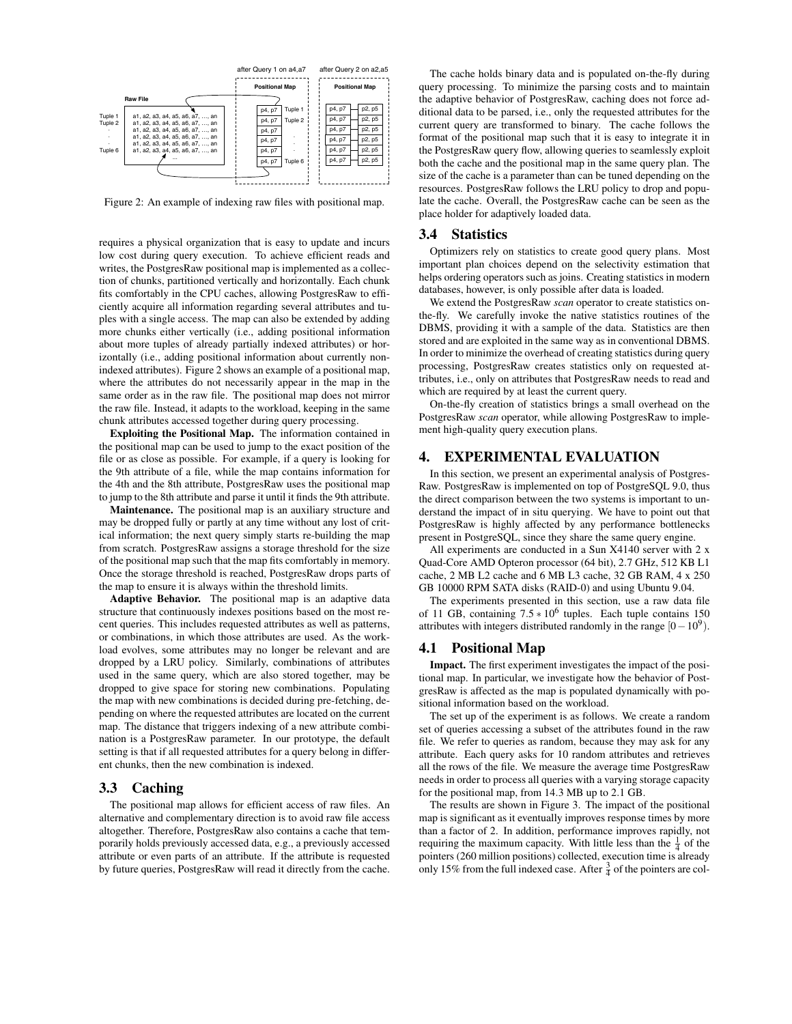

Figure 2: An example of indexing raw files with positional map.

requires a physical organization that is easy to update and incurs low cost during query execution. To achieve efficient reads and writes, the PostgresRaw positional map is implemented as a collection of chunks, partitioned vertically and horizontally. Each chunk fits comfortably in the CPU caches, allowing PostgresRaw to efficiently acquire all information regarding several attributes and tuples with a single access. The map can also be extended by adding more chunks either vertically (i.e., adding positional information about more tuples of already partially indexed attributes) or horizontally (i.e., adding positional information about currently nonindexed attributes). Figure 2 shows an example of a positional map, where the attributes do not necessarily appear in the map in the same order as in the raw file. The positional map does not mirror the raw file. Instead, it adapts to the workload, keeping in the same chunk attributes accessed together during query processing.

Exploiting the Positional Map. The information contained in the positional map can be used to jump to the exact position of the file or as close as possible. For example, if a query is looking for the 9th attribute of a file, while the map contains information for the 4th and the 8th attribute, PostgresRaw uses the positional map to jump to the 8th attribute and parse it until it finds the 9th attribute.

Maintenance. The positional map is an auxiliary structure and may be dropped fully or partly at any time without any lost of critical information; the next query simply starts re-building the map from scratch. PostgresRaw assigns a storage threshold for the size of the positional map such that the map fits comfortably in memory. Once the storage threshold is reached, PostgresRaw drops parts of the map to ensure it is always within the threshold limits.

Adaptive Behavior. The positional map is an adaptive data structure that continuously indexes positions based on the most recent queries. This includes requested attributes as well as patterns, or combinations, in which those attributes are used. As the workload evolves, some attributes may no longer be relevant and are dropped by a LRU policy. Similarly, combinations of attributes used in the same query, which are also stored together, may be dropped to give space for storing new combinations. Populating the map with new combinations is decided during pre-fetching, depending on where the requested attributes are located on the current map. The distance that triggers indexing of a new attribute combination is a PostgresRaw parameter. In our prototype, the default setting is that if all requested attributes for a query belong in different chunks, then the new combination is indexed.

## 3.3 Caching

The positional map allows for efficient access of raw files. An alternative and complementary direction is to avoid raw file access altogether. Therefore, PostgresRaw also contains a cache that temporarily holds previously accessed data, e.g., a previously accessed attribute or even parts of an attribute. If the attribute is requested by future queries, PostgresRaw will read it directly from the cache.

The cache holds binary data and is populated on-the-fly during query processing. To minimize the parsing costs and to maintain the adaptive behavior of PostgresRaw, caching does not force additional data to be parsed, i.e., only the requested attributes for the current query are transformed to binary. The cache follows the format of the positional map such that it is easy to integrate it in the PostgresRaw query flow, allowing queries to seamlessly exploit both the cache and the positional map in the same query plan. The size of the cache is a parameter than can be tuned depending on the resources. PostgresRaw follows the LRU policy to drop and populate the cache. Overall, the PostgresRaw cache can be seen as the place holder for adaptively loaded data.

#### 3.4 Statistics

Optimizers rely on statistics to create good query plans. Most important plan choices depend on the selectivity estimation that helps ordering operators such as joins. Creating statistics in modern databases, however, is only possible after data is loaded.

We extend the PostgresRaw *scan* operator to create statistics onthe-fly. We carefully invoke the native statistics routines of the DBMS, providing it with a sample of the data. Statistics are then stored and are exploited in the same way as in conventional DBMS. In order to minimize the overhead of creating statistics during query processing, PostgresRaw creates statistics only on requested attributes, i.e., only on attributes that PostgresRaw needs to read and which are required by at least the current query.

On-the-fly creation of statistics brings a small overhead on the PostgresRaw *scan* operator, while allowing PostgresRaw to implement high-quality query execution plans.

#### 4. EXPERIMENTAL EVALUATION

In this section, we present an experimental analysis of Postgres-Raw. PostgresRaw is implemented on top of PostgreSQL 9.0, thus the direct comparison between the two systems is important to understand the impact of in situ querying. We have to point out that PostgresRaw is highly affected by any performance bottlenecks present in PostgreSQL, since they share the same query engine.

All experiments are conducted in a Sun X4140 server with 2 x Quad-Core AMD Opteron processor (64 bit), 2*.*7 GHz, 512 KB L1 cache, 2 MB L2 cache and 6 MB L3 cache, 32 GB RAM, 4 x 250 GB 10000 RPM SATA disks (RAID-0) and using Ubuntu 9*.*04.

The experiments presented in this section, use a raw data file of 11 GB, containing  $7.5 * 10^6$  tuples. Each tuple contains 150 attributes with integers distributed randomly in the range  $[0-10^9)$ .

#### 4.1 Positional Map

Impact. The first experiment investigates the impact of the positional map. In particular, we investigate how the behavior of PostgresRaw is affected as the map is populated dynamically with positional information based on the workload.

The set up of the experiment is as follows. We create a random set of queries accessing a subset of the attributes found in the raw file. We refer to queries as random, because they may ask for any attribute. Each query asks for 10 random attributes and retrieves all the rows of the file. We measure the average time PostgresRaw needs in order to process all queries with a varying storage capacity for the positional map, from 14*.*3 MB up to 2*.*1 GB.

The results are shown in Figure 3. The impact of the positional map is significant as it eventually improves response times by more than a factor of 2. In addition, performance improves rapidly, not requiring the maximum capacity. With little less than the  $\frac{1}{4}$  of the pointers (260 million positions) collected, execution time is already only 15% from the full indexed case. After  $\frac{3}{4}$  of the pointers are col-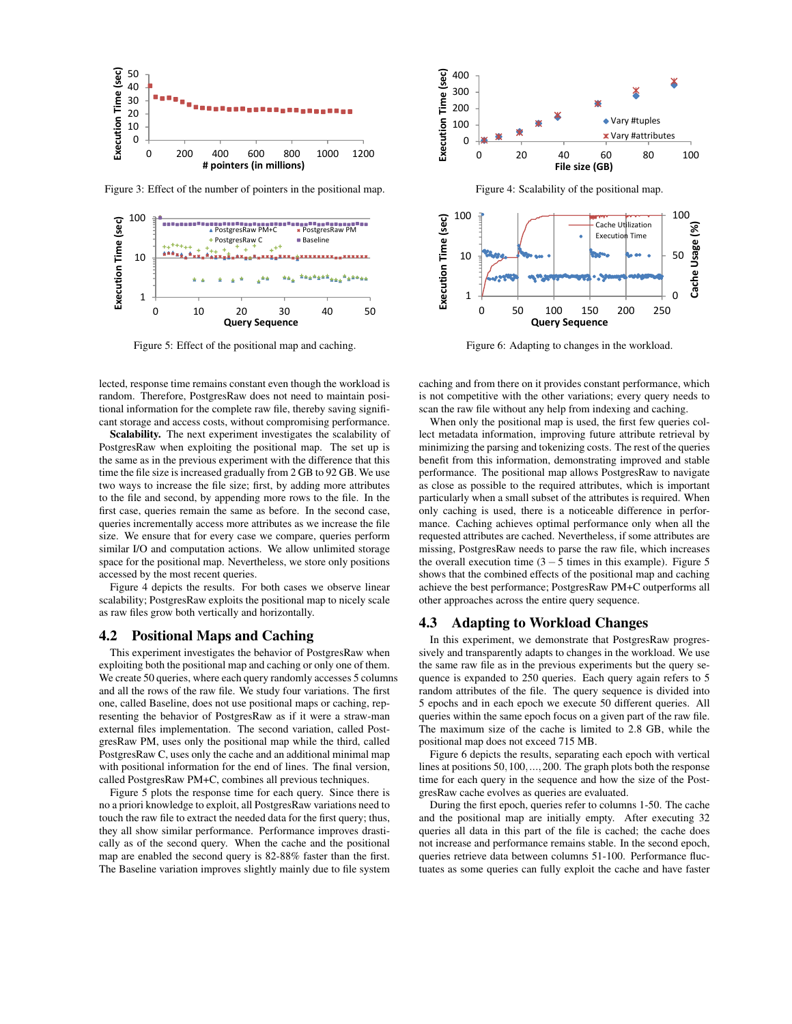

Figure 3: Effect of the number of pointers in the positional map.



Figure 5: Effect of the positional map and caching.

lected, response time remains constant even though the workload is random. Therefore, PostgresRaw does not need to maintain positional information for the complete raw file, thereby saving significant storage and access costs, without compromising performance.

Scalability. The next experiment investigates the scalability of PostgresRaw when exploiting the positional map. The set up is the same as in the previous experiment with the difference that this time the file size is increased gradually from 2 GB to 92 GB. We use two ways to increase the file size; first, by adding more attributes to the file and second, by appending more rows to the file. In the first case, queries remain the same as before. In the second case, queries incrementally access more attributes as we increase the file size. We ensure that for every case we compare, queries perform similar I/O and computation actions. We allow unlimited storage space for the positional map. Nevertheless, we store only positions accessed by the most recent queries.

Figure 4 depicts the results. For both cases we observe linear scalability; PostgresRaw exploits the positional map to nicely scale as raw files grow both vertically and horizontally.

#### 4.2 Positional Maps and Caching

This experiment investigates the behavior of PostgresRaw when exploiting both the positional map and caching or only one of them. We create 50 queries, where each query randomly accesses 5 columns and all the rows of the raw file. We study four variations. The first one, called Baseline, does not use positional maps or caching, representing the behavior of PostgresRaw as if it were a straw-man external files implementation. The second variation, called PostgresRaw PM, uses only the positional map while the third, called PostgresRaw C, uses only the cache and an additional minimal map with positional information for the end of lines. The final version, called PostgresRaw PM+C, combines all previous techniques.

Figure 5 plots the response time for each query. Since there is no a priori knowledge to exploit, all PostgresRaw variations need to touch the raw file to extract the needed data for the first query; thus, they all show similar performance. Performance improves drastically as of the second query. When the cache and the positional map are enabled the second query is 82-88% faster than the first. The Baseline variation improves slightly mainly due to file system



Figure 6: Adapting to changes in the workload.

caching and from there on it provides constant performance, which is not competitive with the other variations; every query needs to scan the raw file without any help from indexing and caching.

When only the positional map is used, the first few queries collect metadata information, improving future attribute retrieval by minimizing the parsing and tokenizing costs. The rest of the queries benefit from this information, demonstrating improved and stable performance. The positional map allows PostgresRaw to navigate as close as possible to the required attributes, which is important particularly when a small subset of the attributes is required. When only caching is used, there is a noticeable difference in performance. Caching achieves optimal performance only when all the requested attributes are cached. Nevertheless, if some attributes are missing, PostgresRaw needs to parse the raw file, which increases the overall execution time  $(3 - 5)$  times in this example). Figure 5 shows that the combined effects of the positional map and caching achieve the best performance; PostgresRaw PM+C outperforms all other approaches across the entire query sequence.

#### 4.3 Adapting to Workload Changes

In this experiment, we demonstrate that PostgresRaw progressively and transparently adapts to changes in the workload. We use the same raw file as in the previous experiments but the query sequence is expanded to 250 queries. Each query again refers to 5 random attributes of the file. The query sequence is divided into 5 epochs and in each epoch we execute 50 different queries. All queries within the same epoch focus on a given part of the raw file. The maximum size of the cache is limited to 2*.*8 GB, while the positional map does not exceed 715 MB.

Figure 6 depicts the results, separating each epoch with vertical lines at positions 50*,*100*,...,*200. The graph plots both the response time for each query in the sequence and how the size of the PostgresRaw cache evolves as queries are evaluated.

During the first epoch, queries refer to columns 1-50. The cache and the positional map are initially empty. After executing 32 queries all data in this part of the file is cached; the cache does not increase and performance remains stable. In the second epoch, queries retrieve data between columns 51-100. Performance fluctuates as some queries can fully exploit the cache and have faster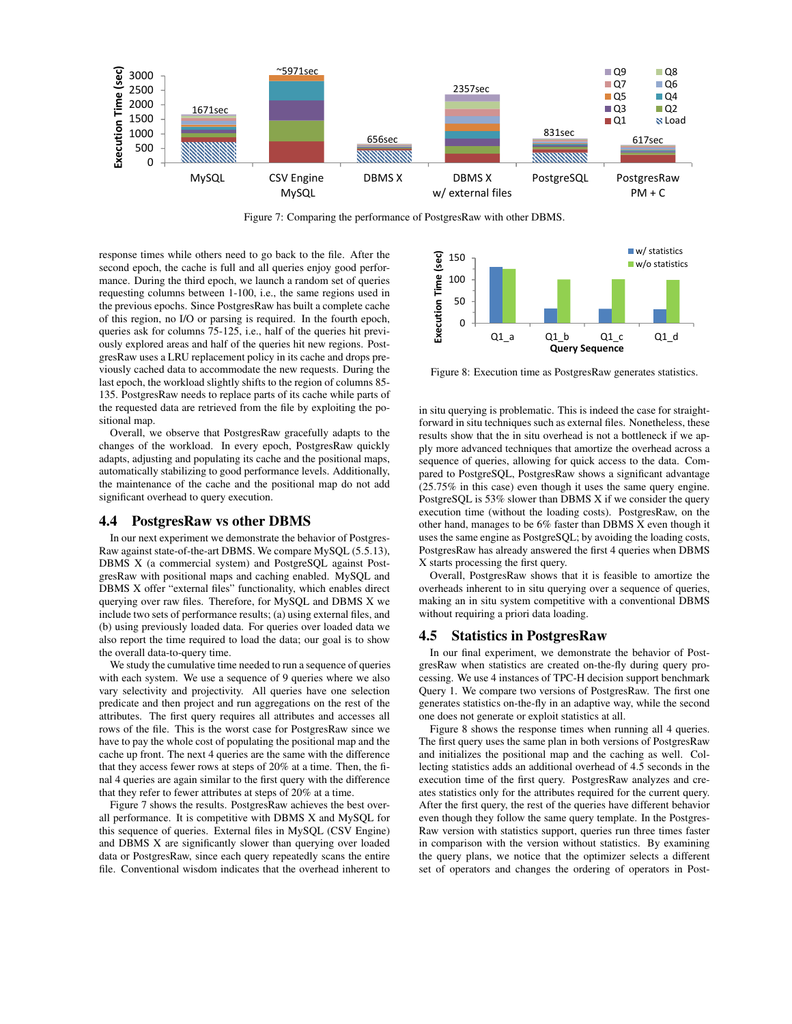

Figure 7: Comparing the performance of PostgresRaw with other DBMS.

response times while others need to go back to the file. After the second epoch, the cache is full and all queries enjoy good performance. During the third epoch, we launch a random set of queries requesting columns between 1-100, i.e., the same regions used in the previous epochs. Since PostgresRaw has built a complete cache of this region, no I/O or parsing is required. In the fourth epoch, queries ask for columns 75-125, i.e., half of the queries hit previously explored areas and half of the queries hit new regions. PostgresRaw uses a LRU replacement policy in its cache and drops previously cached data to accommodate the new requests. During the last epoch, the workload slightly shifts to the region of columns 85- 135. PostgresRaw needs to replace parts of its cache while parts of the requested data are retrieved from the file by exploiting the positional map.

Overall, we observe that PostgresRaw gracefully adapts to the changes of the workload. In every epoch, PostgresRaw quickly adapts, adjusting and populating its cache and the positional maps, automatically stabilizing to good performance levels. Additionally, the maintenance of the cache and the positional map do not add significant overhead to query execution.

#### 4.4 PostgresRaw vs other DBMS

In our next experiment we demonstrate the behavior of Postgres-Raw against state-of-the-art DBMS. We compare MySQL (5*.*5*.*13), DBMS X (a commercial system) and PostgreSQL against PostgresRaw with positional maps and caching enabled. MySQL and DBMS X offer "external files" functionality, which enables direct querying over raw files. Therefore, for MySQL and DBMS X we include two sets of performance results; (a) using external files, and (b) using previously loaded data. For queries over loaded data we also report the time required to load the data; our goal is to show the overall data-to-query time.

We study the cumulative time needed to run a sequence of queries with each system. We use a sequence of 9 queries where we also vary selectivity and projectivity. All queries have one selection predicate and then project and run aggregations on the rest of the attributes. The first query requires all attributes and accesses all rows of the file. This is the worst case for PostgresRaw since we have to pay the whole cost of populating the positional map and the cache up front. The next 4 queries are the same with the difference that they access fewer rows at steps of 20% at a time. Then, the final 4 queries are again similar to the first query with the difference that they refer to fewer attributes at steps of 20% at a time.

Figure 7 shows the results. PostgresRaw achieves the best overall performance. It is competitive with DBMS X and MySQL for this sequence of queries. External files in MySQL (CSV Engine) and DBMS X are significantly slower than querying over loaded data or PostgresRaw, since each query repeatedly scans the entire file. Conventional wisdom indicates that the overhead inherent to



Figure 8: Execution time as PostgresRaw generates statistics.

in situ querying is problematic. This is indeed the case for straightforward in situ techniques such as external files. Nonetheless, these results show that the in situ overhead is not a bottleneck if we apply more advanced techniques that amortize the overhead across a sequence of queries, allowing for quick access to the data. Compared to PostgreSQL, PostgresRaw shows a significant advantage (25*.*75% in this case) even though it uses the same query engine. PostgreSQL is 53% slower than DBMS X if we consider the query execution time (without the loading costs). PostgresRaw, on the other hand, manages to be 6% faster than DBMS X even though it uses the same engine as PostgreSQL; by avoiding the loading costs, PostgresRaw has already answered the first 4 queries when DBMS X starts processing the first query.

Overall, PostgresRaw shows that it is feasible to amortize the overheads inherent to in situ querying over a sequence of queries, making an in situ system competitive with a conventional DBMS without requiring a priori data loading.

#### 4.5 Statistics in PostgresRaw

In our final experiment, we demonstrate the behavior of PostgresRaw when statistics are created on-the-fly during query processing. We use 4 instances of TPC-H decision support benchmark Query 1. We compare two versions of PostgresRaw. The first one generates statistics on-the-fly in an adaptive way, while the second one does not generate or exploit statistics at all.

Figure 8 shows the response times when running all 4 queries. The first query uses the same plan in both versions of PostgresRaw and initializes the positional map and the caching as well. Collecting statistics adds an additional overhead of 4*.*5 seconds in the execution time of the first query. PostgresRaw analyzes and creates statistics only for the attributes required for the current query. After the first query, the rest of the queries have different behavior even though they follow the same query template. In the Postgres-Raw version with statistics support, queries run three times faster in comparison with the version without statistics. By examining the query plans, we notice that the optimizer selects a different set of operators and changes the ordering of operators in Post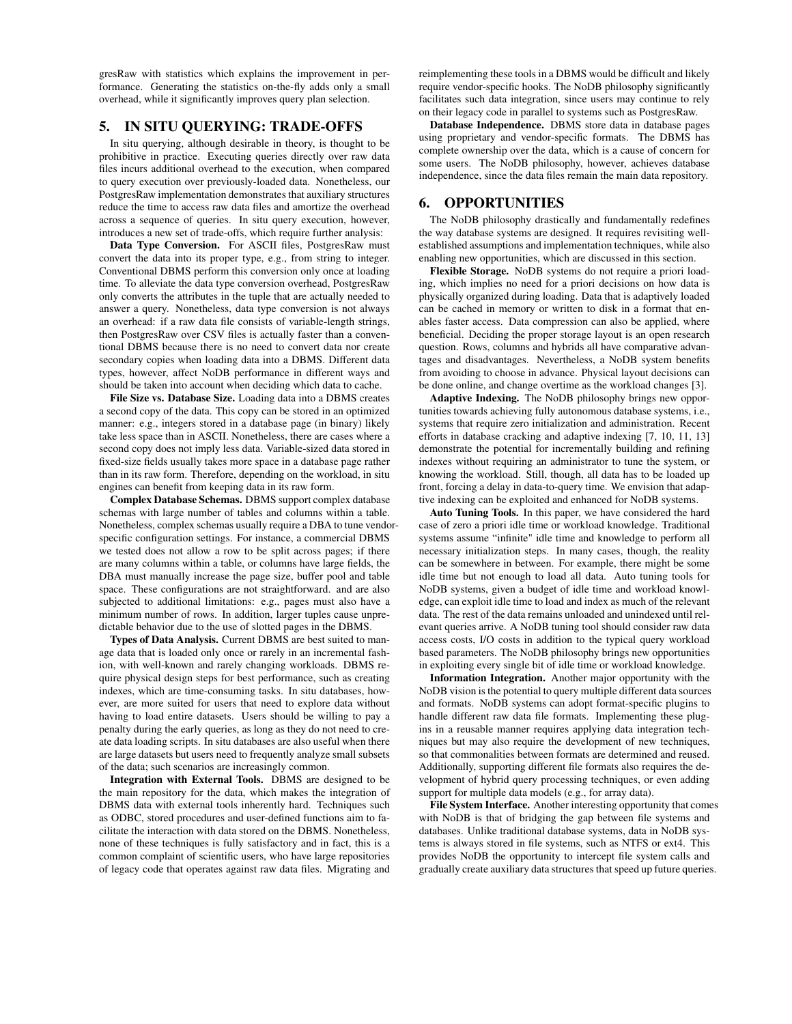gresRaw with statistics which explains the improvement in performance. Generating the statistics on-the-fly adds only a small overhead, while it significantly improves query plan selection.

# 5. IN SITU QUERYING: TRADE-OFFS

In situ querying, although desirable in theory, is thought to be prohibitive in practice. Executing queries directly over raw data files incurs additional overhead to the execution, when compared to query execution over previously-loaded data. Nonetheless, our PostgresRaw implementation demonstrates that auxiliary structures reduce the time to access raw data files and amortize the overhead across a sequence of queries. In situ query execution, however, introduces a new set of trade-offs, which require further analysis:

Data Type Conversion. For ASCII files, PostgresRaw must convert the data into its proper type, e.g., from string to integer. Conventional DBMS perform this conversion only once at loading time. To alleviate the data type conversion overhead, PostgresRaw only converts the attributes in the tuple that are actually needed to answer a query. Nonetheless, data type conversion is not always an overhead: if a raw data file consists of variable-length strings, then PostgresRaw over CSV files is actually faster than a conventional DBMS because there is no need to convert data nor create secondary copies when loading data into a DBMS. Different data types, however, affect NoDB performance in different ways and should be taken into account when deciding which data to cache.

File Size vs. Database Size. Loading data into a DBMS creates a second copy of the data. This copy can be stored in an optimized manner: e.g., integers stored in a database page (in binary) likely take less space than in ASCII. Nonetheless, there are cases where a second copy does not imply less data. Variable-sized data stored in fixed-size fields usually takes more space in a database page rather than in its raw form. Therefore, depending on the workload, in situ engines can benefit from keeping data in its raw form.

Complex Database Schemas. DBMS support complex database schemas with large number of tables and columns within a table. Nonetheless, complex schemas usually require a DBA to tune vendorspecific configuration settings. For instance, a commercial DBMS we tested does not allow a row to be split across pages; if there are many columns within a table, or columns have large fields, the DBA must manually increase the page size, buffer pool and table space. These configurations are not straightforward. and are also subjected to additional limitations: e.g., pages must also have a minimum number of rows. In addition, larger tuples cause unpredictable behavior due to the use of slotted pages in the DBMS.

Types of Data Analysis. Current DBMS are best suited to manage data that is loaded only once or rarely in an incremental fashion, with well-known and rarely changing workloads. DBMS require physical design steps for best performance, such as creating indexes, which are time-consuming tasks. In situ databases, however, are more suited for users that need to explore data without having to load entire datasets. Users should be willing to pay a penalty during the early queries, as long as they do not need to create data loading scripts. In situ databases are also useful when there are large datasets but users need to frequently analyze small subsets of the data; such scenarios are increasingly common.

Integration with External Tools. DBMS are designed to be the main repository for the data, which makes the integration of DBMS data with external tools inherently hard. Techniques such as ODBC, stored procedures and user-defined functions aim to facilitate the interaction with data stored on the DBMS. Nonetheless, none of these techniques is fully satisfactory and in fact, this is a common complaint of scientific users, who have large repositories of legacy code that operates against raw data files. Migrating and reimplementing these tools in a DBMS would be difficult and likely require vendor-specific hooks. The NoDB philosophy significantly facilitates such data integration, since users may continue to rely on their legacy code in parallel to systems such as PostgresRaw.

Database Independence. DBMS store data in database pages using proprietary and vendor-specific formats. The DBMS has complete ownership over the data, which is a cause of concern for some users. The NoDB philosophy, however, achieves database independence, since the data files remain the main data repository.

# 6. OPPORTUNITIES

The NoDB philosophy drastically and fundamentally redefines the way database systems are designed. It requires revisiting wellestablished assumptions and implementation techniques, while also enabling new opportunities, which are discussed in this section.

Flexible Storage. NoDB systems do not require a priori loading, which implies no need for a priori decisions on how data is physically organized during loading. Data that is adaptively loaded can be cached in memory or written to disk in a format that enables faster access. Data compression can also be applied, where beneficial. Deciding the proper storage layout is an open research question. Rows, columns and hybrids all have comparative advantages and disadvantages. Nevertheless, a NoDB system benefits from avoiding to choose in advance. Physical layout decisions can be done online, and change overtime as the workload changes [3].

Adaptive Indexing. The NoDB philosophy brings new opportunities towards achieving fully autonomous database systems, i.e., systems that require zero initialization and administration. Recent efforts in database cracking and adaptive indexing [7, 10, 11, 13] demonstrate the potential for incrementally building and refining indexes without requiring an administrator to tune the system, or knowing the workload. Still, though, all data has to be loaded up front, forcing a delay in data-to-query time. We envision that adaptive indexing can be exploited and enhanced for NoDB systems.

Auto Tuning Tools. In this paper, we have considered the hard case of zero a priori idle time or workload knowledge. Traditional systems assume "infinite" idle time and knowledge to perform all necessary initialization steps. In many cases, though, the reality can be somewhere in between. For example, there might be some idle time but not enough to load all data. Auto tuning tools for NoDB systems, given a budget of idle time and workload knowledge, can exploit idle time to load and index as much of the relevant data. The rest of the data remains unloaded and unindexed until relevant queries arrive. A NoDB tuning tool should consider raw data access costs, I/O costs in addition to the typical query workload based parameters. The NoDB philosophy brings new opportunities in exploiting every single bit of idle time or workload knowledge.

Information Integration. Another major opportunity with the NoDB vision is the potential to query multiple different data sources and formats. NoDB systems can adopt format-specific plugins to handle different raw data file formats. Implementing these plugins in a reusable manner requires applying data integration techniques but may also require the development of new techniques, so that commonalities between formats are determined and reused. Additionally, supporting different file formats also requires the development of hybrid query processing techniques, or even adding support for multiple data models (e.g., for array data).

File System Interface. Another interesting opportunity that comes with NoDB is that of bridging the gap between file systems and databases. Unlike traditional database systems, data in NoDB systems is always stored in file systems, such as NTFS or ext4. This provides NoDB the opportunity to intercept file system calls and gradually create auxiliary data structures that speed up future queries.